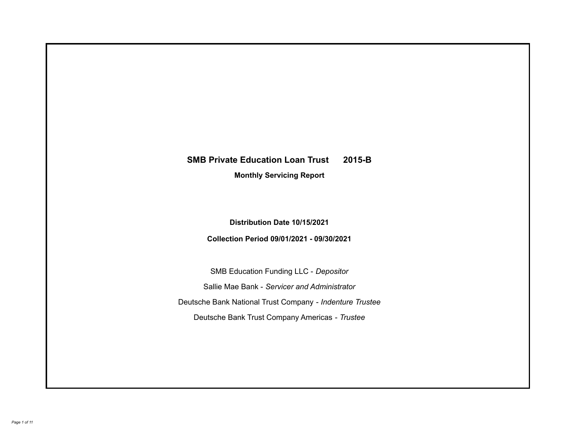# **SMB Private Education Loan Trust 2015-B**

**Monthly Servicing Report**

**Distribution Date 10/15/2021**

**Collection Period 09/01/2021 - 09/30/2021**

SMB Education Funding LLC - *Depositor* Sallie Mae Bank - *Servicer and Administrator* Deutsche Bank National Trust Company - *Indenture Trustee* Deutsche Bank Trust Company Americas - *Trustee*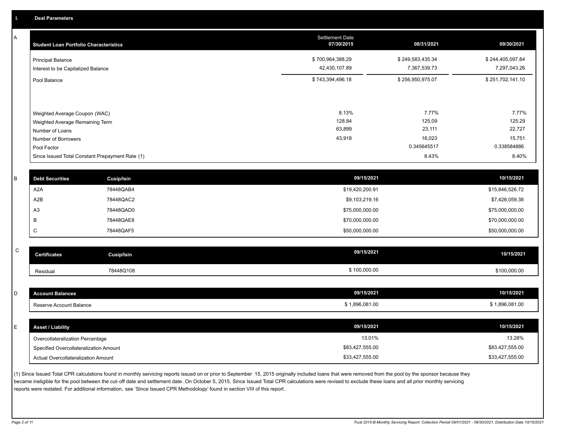A

| <b>Student Loan Portfolio Characteristics</b>                                       | <b>Settlement Date</b><br>07/30/2015 | 08/31/2021                       | 09/30/2021                       |
|-------------------------------------------------------------------------------------|--------------------------------------|----------------------------------|----------------------------------|
| <b>Principal Balance</b><br>Interest to be Capitalized Balance                      | \$700,964,388.29<br>42,430,107.89    | \$249,583,435.34<br>7,367,539.73 | \$244,405,097.84<br>7,297,043.26 |
| Pool Balance                                                                        | \$743,394,496.18                     | \$256,950,975.07                 | \$251,702,141.10                 |
| Weighted Average Coupon (WAC)<br>Weighted Average Remaining Term<br>Number of Loans | 8.13%<br>128.84<br>63,899            | 7.77%<br>125.09<br>23,111        | 7.77%<br>125.29<br>22,727        |
| Number of Borrowers                                                                 | 43,918                               | 16,023                           | 15,751                           |
| Pool Factor                                                                         |                                      | 0.345645517                      | 0.338584886                      |
| Since Issued Total Constant Prepayment Rate (1)                                     |                                      | 8.43%                            | 8.40%                            |

| В | <b>Debt Securities</b> | <b>Cusip/Isin</b> | 09/15/2021      | 10/15/2021      |
|---|------------------------|-------------------|-----------------|-----------------|
|   | A <sub>2</sub> A       | 78448QAB4         | \$19,420,200.91 | \$15,846,526.72 |
|   | A2B                    | 78448QAC2         | \$9,103,219.16  | \$7,428,059.38  |
|   | A3                     | 78448QAD0         | \$75,000,000.00 | \$75,000,000.00 |
|   |                        | 78448QAE8         | \$70,000,000.00 | \$70,000,000.00 |
|   |                        | 78448QAF5         | \$50,000,000.00 | \$50,000,000.00 |
|   |                        |                   |                 |                 |

| $\sim$<br>◡ | <b>Certificates</b> | Cusip/Isin | 09/15/2021 | 10/15/2021   |
|-------------|---------------------|------------|------------|--------------|
|             | Residual            | 78448Q108  | 100,000.00 | \$100,000.00 |

| <b>Account Balances</b>                | 09/15/2021      | 10/15/2021      |
|----------------------------------------|-----------------|-----------------|
| Reserve Account Balance                | \$1,896,081.00  | \$1,896,081.00  |
|                                        |                 |                 |
| <b>Asset / Liability</b>               | 09/15/2021      | 10/15/2021      |
| Overcollateralization Percentage       | 13.01%          | 13.28%          |
| Specified Overcollateralization Amount | \$83,427,555.00 | \$83,427,555.00 |
| Actual Overcollateralization Amount    | \$33,427,555.00 | \$33,427,555.00 |

(1) Since Issued Total CPR calculations found in monthly servicing reports issued on or prior to September 15, 2015 originally included loans that were removed from the pool by the sponsor because they became ineligible for the pool between the cut-off date and settlement date. On October 5, 2015, Since Issued Total CPR calculations were revised to exclude these loans and all prior monthly servicing reports were restated. For additional information, see 'Since Issued CPR Methodology' found in section VIII of this report .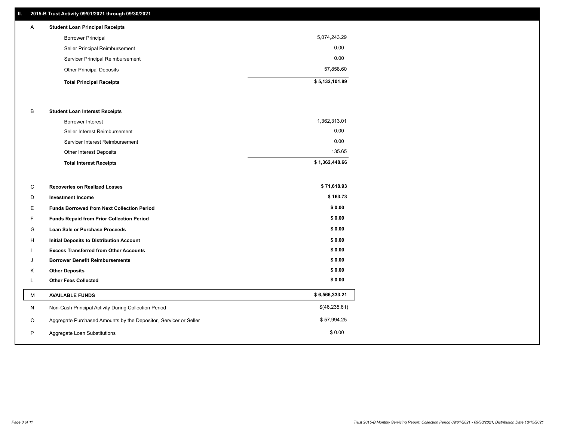# **II. 2015-B Trust Activity 09/01/2021 through 09/30/2021**

| $\mathsf{A}$ | <b>Student Loan Principal Receipts</b> |                |
|--------------|----------------------------------------|----------------|
|              | <b>Borrower Principal</b>              | 5,074,243.29   |
|              | Seller Principal Reimbursement         | 0.00           |
|              | Servicer Principal Reimbursement       | 0.00           |
|              | <b>Other Principal Deposits</b>        | 57,858.60      |
|              | <b>Total Principal Receipts</b>        | \$5,132,101.89 |

# B **Student Loan Interest Receipts**

| <b>Total Interest Receipts</b>  | \$1,362,448.66 |
|---------------------------------|----------------|
| <b>Other Interest Deposits</b>  | 135.65         |
| Servicer Interest Reimbursement | 0.00           |
| Seller Interest Reimbursement   | 0.00           |
| <b>Borrower Interest</b>        | 1,362,313.01   |

| C | <b>Recoveries on Realized Losses</b>                             | \$71,618.93    |
|---|------------------------------------------------------------------|----------------|
| D | <b>Investment Income</b>                                         | \$163.73       |
| Е | <b>Funds Borrowed from Next Collection Period</b>                | \$0.00         |
| F | <b>Funds Repaid from Prior Collection Period</b>                 | \$0.00         |
| G | <b>Loan Sale or Purchase Proceeds</b>                            | \$0.00         |
| H | <b>Initial Deposits to Distribution Account</b>                  | \$0.00         |
|   | <b>Excess Transferred from Other Accounts</b>                    | \$0.00         |
| J | <b>Borrower Benefit Reimbursements</b>                           | \$0.00         |
| K | <b>Other Deposits</b>                                            | \$0.00         |
|   | <b>Other Fees Collected</b>                                      | \$0.00         |
| М | <b>AVAILABLE FUNDS</b>                                           | \$6,566,333.21 |
|   |                                                                  |                |
| N | Non-Cash Principal Activity During Collection Period             | \$(46,235.61)  |
| O | Aggregate Purchased Amounts by the Depositor, Servicer or Seller | \$57,994.25    |
| P | Aggregate Loan Substitutions                                     | \$0.00         |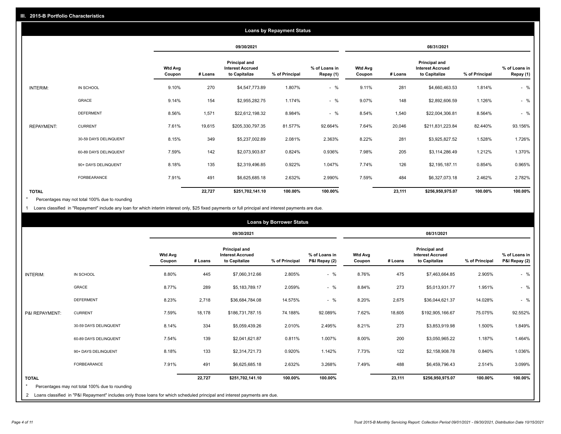| <b>Loans by Repayment Status</b> |                       |                          |            |                                                           |                |                            |                          |         |                                                           |                |                            |
|----------------------------------|-----------------------|--------------------------|------------|-----------------------------------------------------------|----------------|----------------------------|--------------------------|---------|-----------------------------------------------------------|----------------|----------------------------|
|                                  |                       |                          | 09/30/2021 |                                                           |                | 08/31/2021                 |                          |         |                                                           |                |                            |
|                                  |                       | <b>Wtd Avg</b><br>Coupon | # Loans    | Principal and<br><b>Interest Accrued</b><br>to Capitalize | % of Principal | % of Loans in<br>Repay (1) | <b>Wtd Avg</b><br>Coupon | # Loans | Principal and<br><b>Interest Accrued</b><br>to Capitalize | % of Principal | % of Loans in<br>Repay (1) |
| INTERIM:                         | IN SCHOOL             | 9.10%                    | 270        | \$4,547,773.89                                            | 1.807%         | $-$ %                      | 9.11%                    | 281     | \$4,660,463.53                                            | 1.814%         | $-$ %                      |
|                                  | GRACE                 | 9.14%                    | 154        | \$2,955,282.75                                            | 1.174%         | $-$ %                      | 9.07%                    | 148     | \$2,892,606.59                                            | 1.126%         | $-$ %                      |
|                                  | <b>DEFERMENT</b>      | 8.56%                    | 1,571      | \$22,612,198.32                                           | 8.984%         | $-$ %                      | 8.54%                    | 1,540   | \$22,004,306.81                                           | 8.564%         | $-$ %                      |
| <b>REPAYMENT:</b>                | <b>CURRENT</b>        | 7.61%                    | 19,615     | \$205,330,797.35                                          | 81.577%        | 92.664%                    | 7.64%                    | 20,046  | \$211,831,223.84                                          | 82.440%        | 93.156%                    |
|                                  | 30-59 DAYS DELINQUENT | 8.15%                    | 349        | \$5,237,002.89                                            | 2.081%         | 2.363%                     | 8.22%                    | 281     | \$3,925,827.52                                            | 1.528%         | 1.726%                     |
|                                  | 60-89 DAYS DELINQUENT | 7.59%                    | 142        | \$2,073,903.87                                            | 0.824%         | 0.936%                     | 7.98%                    | 205     | \$3,114,286.49                                            | 1.212%         | 1.370%                     |
|                                  | 90+ DAYS DELINQUENT   | 8.18%                    | 135        | \$2,319,496.85                                            | 0.922%         | 1.047%                     | 7.74%                    | 126     | \$2,195,187.11                                            | 0.854%         | 0.965%                     |
|                                  | <b>FORBEARANCE</b>    | 7.91%                    | 491        | \$6,625,685.18                                            | 2.632%         | 2.990%                     | 7.59%                    | 484     | \$6,327,073.18                                            | 2.462%         | 2.782%                     |
| <b>TOTAL</b>                     |                       |                          | 22,727     | \$251,702,141.10                                          | 100.00%        | 100.00%                    |                          | 23,111  | \$256,950,975.07                                          | 100.00%        | 100.00%                    |

Percentages may not total 100% due to rounding \*

1 Loans classified in "Repayment" include any loan for which interim interest only, \$25 fixed payments or full principal and interest payments are due.

|                         | <b>Loans by Borrower Status</b>                                                                                              |                          |            |                                                           |                |                                |                          |         |                                                                  |                |                                |
|-------------------------|------------------------------------------------------------------------------------------------------------------------------|--------------------------|------------|-----------------------------------------------------------|----------------|--------------------------------|--------------------------|---------|------------------------------------------------------------------|----------------|--------------------------------|
|                         |                                                                                                                              |                          | 09/30/2021 |                                                           |                |                                | 08/31/2021               |         |                                                                  |                |                                |
|                         |                                                                                                                              | <b>Wtd Avg</b><br>Coupon | # Loans    | Principal and<br><b>Interest Accrued</b><br>to Capitalize | % of Principal | % of Loans in<br>P&I Repay (2) | <b>Wtd Avg</b><br>Coupon | # Loans | <b>Principal and</b><br><b>Interest Accrued</b><br>to Capitalize | % of Principal | % of Loans in<br>P&I Repay (2) |
| <b>INTERIM:</b>         | IN SCHOOL                                                                                                                    | 8.80%                    | 445        | \$7,060,312.66                                            | 2.805%         | $-$ %                          | 8.76%                    | 475     | \$7,463,664.85                                                   | 2.905%         | $-$ %                          |
|                         | <b>GRACE</b>                                                                                                                 | 8.77%                    | 289        | \$5,183,789.17                                            | 2.059%         | $-$ %                          | 8.84%                    | 273     | \$5,013,931.77                                                   | 1.951%         | $-$ %                          |
|                         | <b>DEFERMENT</b>                                                                                                             | 8.23%                    | 2,718      | \$36,684,784.08                                           | 14.575%        | $-$ %                          | 8.20%                    | 2,675   | \$36,044,621.37                                                  | 14.028%        | $-$ %                          |
| P&I REPAYMENT:          | <b>CURRENT</b>                                                                                                               | 7.59%                    | 18,178     | \$186,731,787.15                                          | 74.188%        | 92.089%                        | 7.62%                    | 18,605  | \$192,905,166.67                                                 | 75.075%        | 92.552%                        |
|                         | 30-59 DAYS DELINQUENT                                                                                                        | 8.14%                    | 334        | \$5,059,439.26                                            | 2.010%         | 2.495%                         | 8.21%                    | 273     | \$3,853,919.98                                                   | 1.500%         | 1.849%                         |
|                         | 60-89 DAYS DELINQUENT                                                                                                        | 7.54%                    | 139        | \$2,041,621.87                                            | 0.811%         | 1.007%                         | 8.00%                    | 200     | \$3,050,965.22                                                   | 1.187%         | 1.464%                         |
|                         | 90+ DAYS DELINQUENT                                                                                                          | 8.18%                    | 133        | \$2,314,721.73                                            | 0.920%         | 1.142%                         | 7.73%                    | 122     | \$2,158,908.78                                                   | 0.840%         | 1.036%                         |
|                         | <b>FORBEARANCE</b>                                                                                                           | 7.91%                    | 491        | \$6,625,685.18                                            | 2.632%         | 3.268%                         | 7.49%                    | 488     | \$6,459,796.43                                                   | 2.514%         | 3.099%                         |
| <b>TOTAL</b><br>$\star$ | Percentages may not total 100% due to rounding                                                                               |                          | 22,727     | \$251,702,141.10                                          | 100.00%        | 100.00%                        |                          | 23,111  | \$256,950,975.07                                                 | 100.00%        | 100.00%                        |
|                         | 2 Loans classified in "P&I Repayment" includes only those loans for which scheduled principal and interest payments are due. |                          |            |                                                           |                |                                |                          |         |                                                                  |                |                                |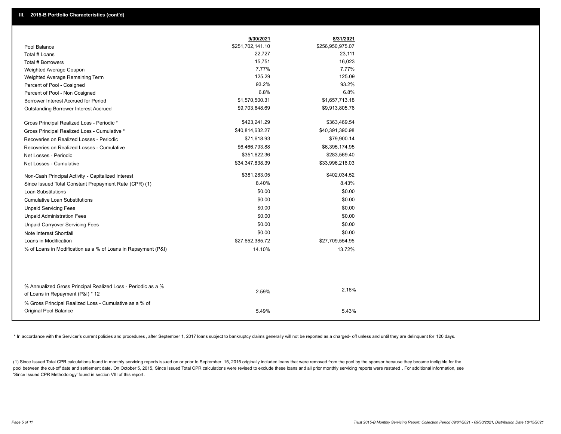|                                                               | 9/30/2021        | 8/31/2021        |
|---------------------------------------------------------------|------------------|------------------|
| Pool Balance                                                  | \$251,702,141.10 | \$256,950,975.07 |
| Total # Loans                                                 | 22,727           | 23,111           |
| Total # Borrowers                                             | 15,751           | 16,023           |
| Weighted Average Coupon                                       | 7.77%            | 7.77%            |
| Weighted Average Remaining Term                               | 125.29           | 125.09           |
| Percent of Pool - Cosigned                                    | 93.2%            | 93.2%            |
| Percent of Pool - Non Cosigned                                | 6.8%             | 6.8%             |
| Borrower Interest Accrued for Period                          | \$1,570,500.31   | \$1,657,713.18   |
| <b>Outstanding Borrower Interest Accrued</b>                  | \$9,703,648.69   | \$9,913,805.76   |
| Gross Principal Realized Loss - Periodic *                    | \$423,241.29     | \$363,469.54     |
| Gross Principal Realized Loss - Cumulative *                  | \$40,814,632.27  | \$40,391,390.98  |
| Recoveries on Realized Losses - Periodic                      | \$71,618.93      | \$79,900.14      |
| Recoveries on Realized Losses - Cumulative                    | \$6,466,793.88   | \$6,395,174.95   |
| Net Losses - Periodic                                         | \$351,622.36     | \$283,569.40     |
| Net Losses - Cumulative                                       | \$34,347,838.39  | \$33,996,216.03  |
| Non-Cash Principal Activity - Capitalized Interest            | \$381,283.05     | \$402,034.52     |
| Since Issued Total Constant Prepayment Rate (CPR) (1)         | 8.40%            | 8.43%            |
| <b>Loan Substitutions</b>                                     | \$0.00           | \$0.00           |
| <b>Cumulative Loan Substitutions</b>                          | \$0.00           | \$0.00           |
| <b>Unpaid Servicing Fees</b>                                  | \$0.00           | \$0.00           |
| <b>Unpaid Administration Fees</b>                             | \$0.00           | \$0.00           |
| <b>Unpaid Carryover Servicing Fees</b>                        | \$0.00           | \$0.00           |
| Note Interest Shortfall                                       | \$0.00           | \$0.00           |
| Loans in Modification                                         | \$27,652,385.72  | \$27,709,554.95  |
| % of Loans in Modification as a % of Loans in Repayment (P&I) | 14.10%           | 13.72%           |
|                                                               |                  |                  |
| % Annualized Gross Principal Realized Loss - Periodic as a %  |                  |                  |
| of Loans in Repayment (P&I) * 12                              | 2.59%            | 2.16%            |
| % Gross Principal Realized Loss - Cumulative as a % of        |                  |                  |
| Original Pool Balance                                         | 5.49%            | 5.43%            |

\* In accordance with the Servicer's current policies and procedures, after September 1, 2017 loans subject to bankruptcy claims generally will not be reported as a charged- off unless and until they are delinquent for 120

(1) Since Issued Total CPR calculations found in monthly servicing reports issued on or prior to September 15, 2015 originally included loans that were removed from the pool by the sponsor because they became ineligible fo pool between the cut-off date and settlement date. On October 5, 2015, Since Issued Total CPR calculations were revised to exclude these loans and all prior monthly servicing reports were restated. For additional informati 'Since Issued CPR Methodology' found in section VIII of this report .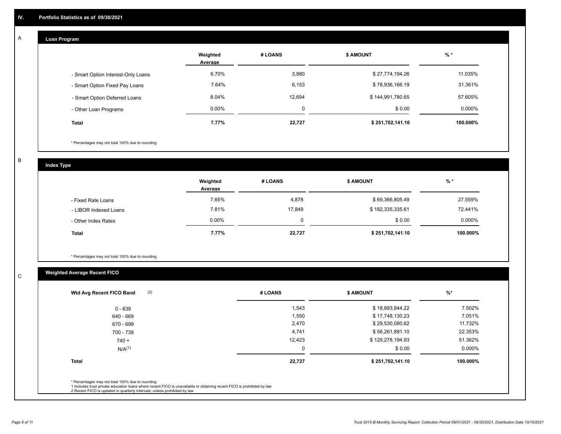#### **Loan Program**  A

|                                    | Weighted<br>Average | # LOANS  | <b>\$ AMOUNT</b> | % *       |
|------------------------------------|---------------------|----------|------------------|-----------|
| - Smart Option Interest-Only Loans | 6.70%               | 3,880    | \$27,774,194.26  | 11.035%   |
| - Smart Option Fixed Pay Loans     | 7.64%               | 6,153    | \$78,936,166.19  | 31.361%   |
| - Smart Option Deferred Loans      | 8.04%               | 12,694   | \$144,991,780.65 | 57.605%   |
| - Other Loan Programs              | $0.00\%$            | $\Omega$ | \$0.00           | $0.000\%$ |
| <b>Total</b>                       | 7.77%               | 22,727   | \$251,702,141.10 | 100.000%  |

\* Percentages may not total 100% due to rounding

B

C

**Index Type**

|                       | Weighted<br>Average | # LOANS | <b>\$ AMOUNT</b> | $%$ *    |
|-----------------------|---------------------|---------|------------------|----------|
| - Fixed Rate Loans    | 7.65%               | 4,878   | \$69,366,805.49  | 27.559%  |
| - LIBOR Indexed Loans | 7.81%               | 17.849  | \$182,335,335.61 | 72.441%  |
| - Other Index Rates   | $0.00\%$            |         | \$0.00           | 0.000%   |
| <b>Total</b>          | 7.77%               | 22,727  | \$251,702,141.10 | 100.000% |

\* Percentages may not total 100% due to rounding

# **Weighted Average Recent FICO**

| 1,543  | \$18,883,844.22  | 7.502%   |
|--------|------------------|----------|
|        |                  |          |
| 1,550  | \$17,748,130.23  | 7.051%   |
| 2,470  | \$29,530,080.62  | 11.732%  |
| 4,741  | \$56,261,891.10  | 22.353%  |
| 12,423 | \$129,278,194.93 | 51.362%  |
| 0      | \$0.00           | 0.000%   |
| 22,727 | \$251,702,141.10 | 100.000% |
|        |                  |          |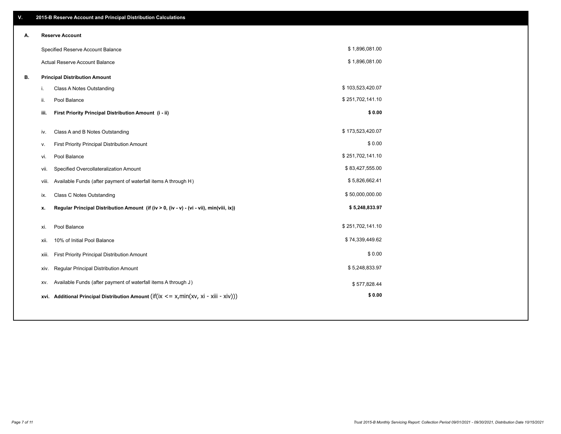| V. |       | 2015-B Reserve Account and Principal Distribution Calculations                                        |                  |  |
|----|-------|-------------------------------------------------------------------------------------------------------|------------------|--|
| Α. |       | <b>Reserve Account</b>                                                                                |                  |  |
|    |       | Specified Reserve Account Balance                                                                     | \$1,896,081.00   |  |
|    |       | Actual Reserve Account Balance                                                                        | \$1,896,081.00   |  |
| В. |       | <b>Principal Distribution Amount</b>                                                                  |                  |  |
|    | i.    | Class A Notes Outstanding                                                                             | \$103,523,420.07 |  |
|    | ii.   | Pool Balance                                                                                          | \$251,702,141.10 |  |
|    | iii.  | First Priority Principal Distribution Amount (i - ii)                                                 | \$0.00           |  |
|    |       |                                                                                                       |                  |  |
|    | iv.   | Class A and B Notes Outstanding                                                                       | \$173,523,420.07 |  |
|    | ν.    | First Priority Principal Distribution Amount                                                          | \$0.00           |  |
|    | vi.   | Pool Balance                                                                                          | \$251,702,141.10 |  |
|    | vii.  | Specified Overcollateralization Amount                                                                | \$83,427,555.00  |  |
|    | viii. | Available Funds (after payment of waterfall items A through H)                                        | \$5,826,662.41   |  |
|    | ix.   | <b>Class C Notes Outstanding</b>                                                                      | \$50,000,000.00  |  |
|    | x.    | Regular Principal Distribution Amount (if (iv > 0, (iv - v) - (vi - vii), min(viii, ix))              | \$5,248,833.97   |  |
|    |       |                                                                                                       |                  |  |
|    | xi.   | Pool Balance                                                                                          | \$251,702,141.10 |  |
|    | xii.  | 10% of Initial Pool Balance                                                                           | \$74,339,449.62  |  |
|    | xiii. | First Priority Principal Distribution Amount                                                          | \$0.00           |  |
|    |       | Regular Principal Distribution Amount<br>XIV.                                                         | \$5,248,833.97   |  |
|    | XV.   | Available Funds (after payment of waterfall items A through J)                                        | \$577,828.44     |  |
|    |       | xvi. Additional Principal Distribution Amount (if( $ix \le x$ , min( $xv$ , $xi \cdot xiii - xiv$ ))) | \$0.00           |  |
|    |       |                                                                                                       |                  |  |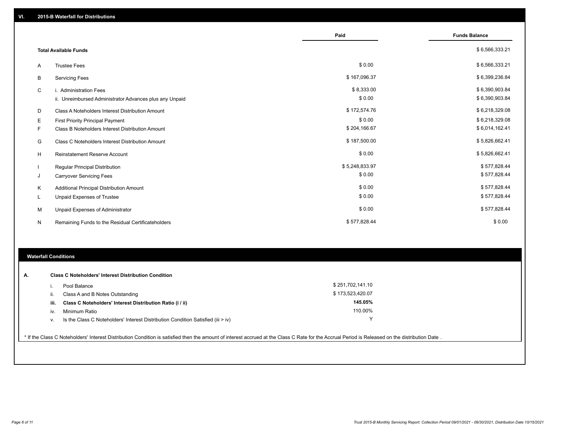|    |                                                         | Paid           | <b>Funds Balance</b> |
|----|---------------------------------------------------------|----------------|----------------------|
|    | <b>Total Available Funds</b>                            |                | \$6,566,333.21       |
| A  | <b>Trustee Fees</b>                                     | \$0.00         | \$6,566,333.21       |
| B  | <b>Servicing Fees</b>                                   | \$167,096.37   | \$6,399,236.84       |
| C  | i. Administration Fees                                  | \$8,333.00     | \$6,390,903.84       |
|    | ii. Unreimbursed Administrator Advances plus any Unpaid | \$0.00         | \$6,390,903.84       |
| D  | Class A Noteholders Interest Distribution Amount        | \$172,574.76   | \$6,218,329.08       |
| Е  | <b>First Priority Principal Payment</b>                 | \$0.00         | \$6,218,329.08       |
| F. | Class B Noteholders Interest Distribution Amount        | \$204,166.67   | \$6,014,162.41       |
| G  | Class C Noteholders Interest Distribution Amount        | \$187,500.00   | \$5,826,662.41       |
| H  | <b>Reinstatement Reserve Account</b>                    | \$0.00         | \$5,826,662.41       |
|    | <b>Regular Principal Distribution</b>                   | \$5,248,833.97 | \$577,828.44         |
| J  | <b>Carryover Servicing Fees</b>                         | \$0.00         | \$577,828.44         |
| Κ  | Additional Principal Distribution Amount                | \$0.00         | \$577,828.44         |
| L  | Unpaid Expenses of Trustee                              | \$0.00         | \$577,828.44         |
| м  | Unpaid Expenses of Administrator                        | \$0.00         | \$577,828.44         |
| N  | Remaining Funds to the Residual Certificateholders      | \$577,828.44   | \$0.00               |

# **Waterfall Conditions**

| А. |      | <b>Class C Noteholders' Interest Distribution Condition</b>                        |                  |  |
|----|------|------------------------------------------------------------------------------------|------------------|--|
|    |      | Pool Balance                                                                       | \$251,702,141.10 |  |
|    | н.   | Class A and B Notes Outstanding                                                    | \$173,523,420.07 |  |
|    | iii. | Class C Noteholders' Interest Distribution Ratio (i / ii)                          | 145.05%          |  |
|    | IV.  | Minimum Ratio                                                                      | 110.00%          |  |
|    | v.   | Is the Class C Noteholders' Interest Distribution Condition Satisfied (iii $>$ iv) |                  |  |
|    |      |                                                                                    |                  |  |

\* If the Class C Noteholders' Interest Distribution Condition is satisfied then the amount of interest accrued at the Class C Rate for the Accrual Period is Released on the distribution Date .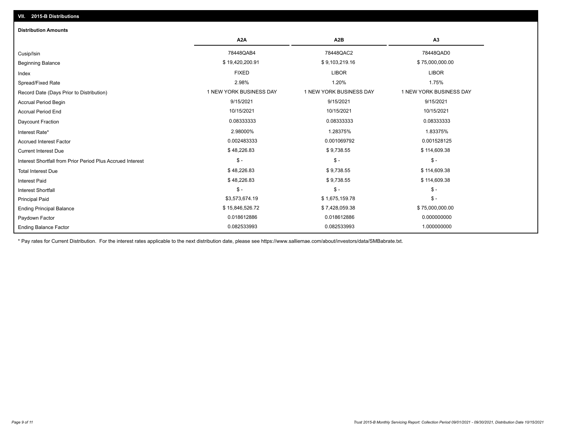# Ending Balance Factor Paydown Factor 0.018612886 0.018612886 0.000000000 Ending Principal Balance \$ 75,000,000.00 \$ 15,846,526.72 \$ \$ 7,428,059.38 \$ 75,000,000.00 \$ 75,000,000.00 Principal Paid \$3,573,674.19 \$ 1,675,159.78 \$ - \$ - \$ - \$ - Interest Shortfall \$ 48,226.83 \$ 9,738.55 \$ 114,609.38 Interest Paid Total Interest Due \$ 48,226.83 \$ 9,738.55 \$ 114,609.38 \$ - \$ - \$ - Interest Shortfall from Prior Period Plus Accrued Interest Current Interest Due \$ 48,226.83 \$ 9,738.55 \$ 114,609.38 Accrued Interest Factor 0.002483333 0.001069792 0.001528125 Interest Rate\* 2.98000% 1.28375% 1.83375% Daycount Fraction 0.08333333 0.08333333 0.08333333 Accrual Period End 10/15/2021 10/15/2021 10/15/2021 Accrual Period Begin 9/15/2021 9/15/2021 9/15/2021 Record Date (Days Prior to Distribution) **1 NEW YORK BUSINESS DAY** 1 NEW YORK BUSINESS DAY 1 NEW YORK BUSINESS DAY Spread/Fixed Rate 2.98% 1.20% 1.75% Index FIXED LIBOR LIBOR Beginning Balance \$ 19,420,200.91 \$ \$ 9,103,219.16 \$ 9,103,219.16 \$ 9,103,219.16 \$ 75,000,000.00 Cusip/Isin 78448QAB4 78448QAC2 78448QAD0 **A2A A2B A3** 0.082533993 0.082533993 1.000000000 **Distribution Amounts**

\* Pay rates for Current Distribution. For the interest rates applicable to the next distribution date, please see https://www.salliemae.com/about/investors/data/SMBabrate.txt.

**VII. 2015-B Distributions**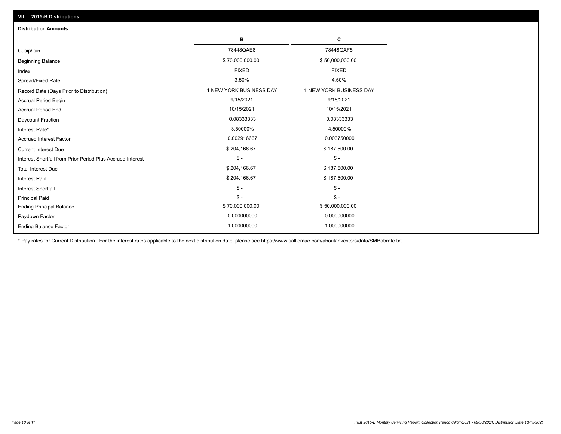| VII. 2015-B Distributions                                  |                         |                         |
|------------------------------------------------------------|-------------------------|-------------------------|
| <b>Distribution Amounts</b>                                |                         |                         |
|                                                            | в                       | С                       |
| Cusip/Isin                                                 | 78448QAE8               | 78448QAF5               |
| <b>Beginning Balance</b>                                   | \$70,000,000.00         | \$50,000,000.00         |
| Index                                                      | <b>FIXED</b>            | <b>FIXED</b>            |
| Spread/Fixed Rate                                          | 3.50%                   | 4.50%                   |
| Record Date (Days Prior to Distribution)                   | 1 NEW YORK BUSINESS DAY | 1 NEW YORK BUSINESS DAY |
| <b>Accrual Period Begin</b>                                | 9/15/2021               | 9/15/2021               |
| <b>Accrual Period End</b>                                  | 10/15/2021              | 10/15/2021              |
| Daycount Fraction                                          | 0.08333333              | 0.08333333              |
| Interest Rate*                                             | 3.50000%                | 4.50000%                |
| <b>Accrued Interest Factor</b>                             | 0.002916667             | 0.003750000             |
| <b>Current Interest Due</b>                                | \$204,166.67            | \$187,500.00            |
| Interest Shortfall from Prior Period Plus Accrued Interest | $\frac{1}{2}$           | $\mathsf{\$}$ -         |
| <b>Total Interest Due</b>                                  | \$204,166.67            | \$187,500.00            |
| Interest Paid                                              | \$204,166.67            | \$187,500.00            |
| Interest Shortfall                                         | $$ -$                   | $\frac{1}{2}$           |
| <b>Principal Paid</b>                                      | $\mathsf{\$}$ -         | $$ -$                   |
| <b>Ending Principal Balance</b>                            | \$70,000,000.00         | \$50,000,000.00         |
| Paydown Factor                                             | 0.000000000             | 0.000000000             |
| <b>Ending Balance Factor</b>                               | 1.000000000             | 1.000000000             |

\* Pay rates for Current Distribution. For the interest rates applicable to the next distribution date, please see https://www.salliemae.com/about/investors/data/SMBabrate.txt.